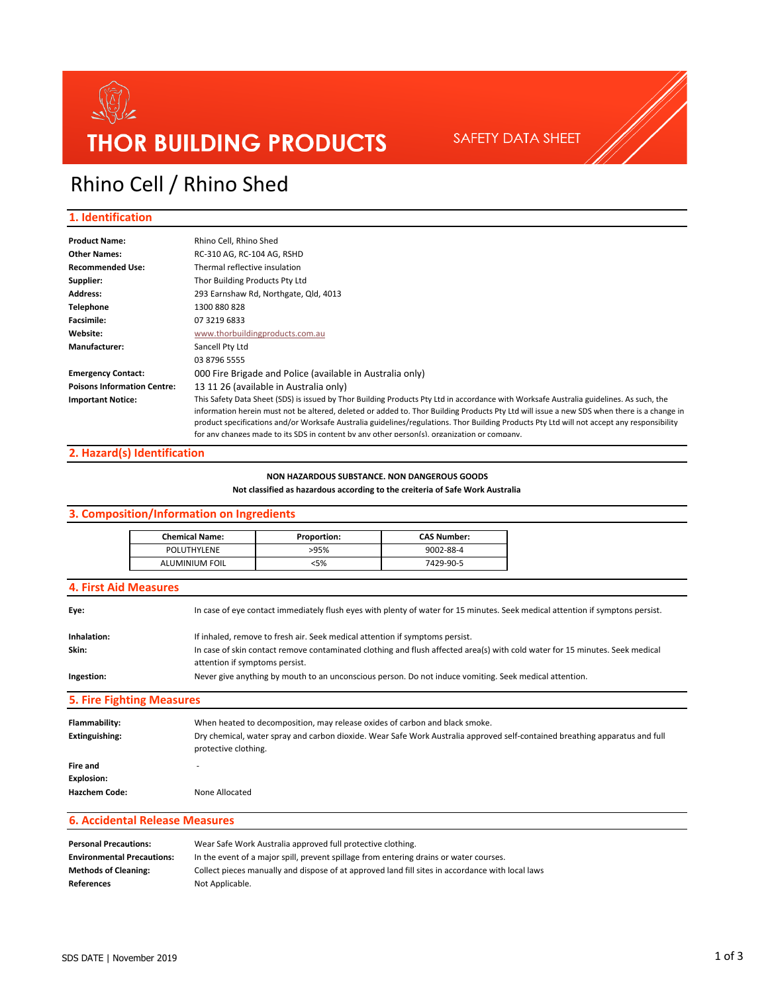

### Rhino Cell / Rhino Shed

#### **1. Identification**

| <b>Product Name:</b>               | Rhino Cell, Rhino Shed                                                                                                                     |
|------------------------------------|--------------------------------------------------------------------------------------------------------------------------------------------|
| <b>Other Names:</b>                | RC-310 AG, RC-104 AG, RSHD                                                                                                                 |
| <b>Recommended Use:</b>            | Thermal reflective insulation                                                                                                              |
| Supplier:                          | Thor Building Products Pty Ltd                                                                                                             |
| <b>Address:</b>                    | 293 Earnshaw Rd, Northgate, Qld, 4013                                                                                                      |
| <b>Telephone</b>                   | 1300 880 828                                                                                                                               |
| <b>Facsimile:</b>                  | 07 3219 6833                                                                                                                               |
| Website:                           | www.thorbuildingproducts.com.au                                                                                                            |
| Manufacturer:                      | Sancell Pty Ltd                                                                                                                            |
|                                    | 03 8796 5555                                                                                                                               |
| <b>Emergency Contact:</b>          | 000 Fire Brigade and Police (available in Australia only)                                                                                  |
| <b>Poisons Information Centre:</b> | 13 11 26 (available in Australia only)                                                                                                     |
| <b>Important Notice:</b>           | This Safety Data Sheet (SDS) is issued by Thor Building Products Pty Ltd in accordance with Worksafe Australia guidelines. As such, the    |
|                                    | information herein must not be altered, deleted or added to. Thor Building Products Pty Ltd will issue a new SDS when there is a change in |
|                                    | product specifications and/or Worksafe Australia guidelines/regulations. Thor Building Products Pty Ltd will not accept any responsibility |
|                                    | for any changes made to its SDS in content by any other person(s) organization or company                                                  |

#### **2. Hazard(s) Identification**

#### **NON HAZARDOUS SUBSTANCE. NON DANGEROUS GOODS**

#### **Not classified as hazardous according to the creiteria of Safe Work Australia**

#### **3. Composition/Information on Ingredients**

| <b>Chemical Name:</b> | Proportion: | <b>CAS Number:</b> |
|-----------------------|-------------|--------------------|
| POLUTHYLENE           | >95%        | 9002-88-4          |
| <b>ALUMINIUM FOIL</b> | :5%         | 7429-90-5          |

#### **4. First Aid Measures**

| _______     |                                                                                                                                |
|-------------|--------------------------------------------------------------------------------------------------------------------------------|
| Ingestion:  | Never give anything by mouth to an unconscious person. Do not induce vomiting. Seek medical attention.                         |
|             | attention if symptoms persist.                                                                                                 |
| Skin:       | In case of skin contact remove contaminated clothing and flush affected area(s) with cold water for 15 minutes. Seek medical   |
| Inhalation: | If inhaled, remove to fresh air. Seek medical attention if symptoms persist.                                                   |
| Eve:        | In case of eye contact immediately flush eyes with plenty of water for 15 minutes. Seek medical attention if symptons persist. |

**5. Fire Fighting Measures**

| Flammability:<br>Extinguishing:                | When heated to decomposition, may release oxides of carbon and black smoke.<br>Dry chemical, water spray and carbon dioxide. Wear Safe Work Australia approved self-contained breathing apparatus and full<br>protective clothing. |  |
|------------------------------------------------|------------------------------------------------------------------------------------------------------------------------------------------------------------------------------------------------------------------------------------|--|
| Fire and<br>Explosion:<br><b>Hazchem Code:</b> | None Allocated                                                                                                                                                                                                                     |  |

#### **6. Accidental Release Measures**

| <b>Personal Precautions:</b>      | Wear Safe Work Australia approved full protective clothing.                                      |  |
|-----------------------------------|--------------------------------------------------------------------------------------------------|--|
| <b>Environmental Precautions:</b> | In the event of a major spill, prevent spillage from entering drains or water courses.           |  |
| <b>Methods of Cleaning:</b>       | Collect pieces manually and dispose of at approved land fill sites in accordance with local laws |  |
| <b>References</b>                 | Not Applicable.                                                                                  |  |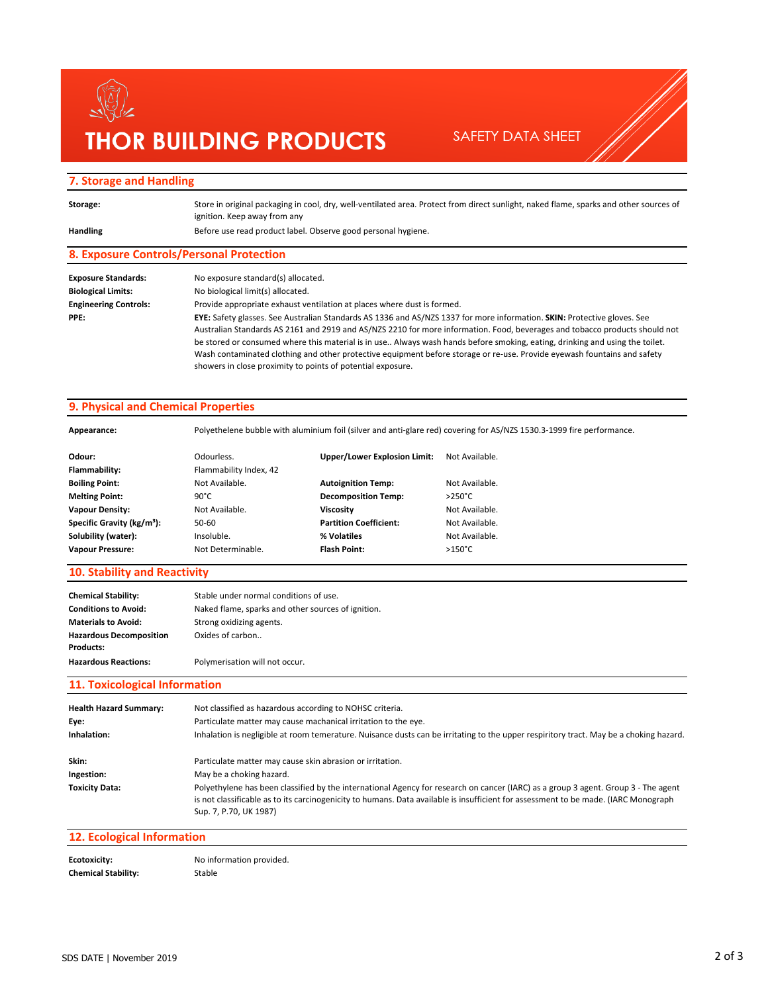## $\mathbb{Z}$ **THOR BUILDING PRODUCTS**

SAFETY DATA SHEET

#### **7. Storage and Handling**

| Storage:                     | Store in original packaging in cool, dry, well-ventilated area. Protect from direct sunlight, naked flame, sparks and other sources of<br>ignition. Keep away from any |
|------------------------------|------------------------------------------------------------------------------------------------------------------------------------------------------------------------|
| <b>Handling</b>              | Before use read product label. Observe good personal hygiene.                                                                                                          |
|                              | 8. Exposure Controls/Personal Protection                                                                                                                               |
| <b>Exposure Standards:</b>   | No exposure standard(s) allocated.                                                                                                                                     |
| <b>Biological Limits:</b>    | No biological limit(s) allocated.                                                                                                                                      |
| <b>Engineering Controls:</b> | Provide appropriate exhaust ventilation at places where dust is formed.                                                                                                |
| PPE:                         | EYE: Safety glasses. See Australian Standards AS 1336 and AS/NZS 1337 for more information. SKIN: Protective gloves. See                                               |
|                              | Australian Standards AS 2161 and 2919 and AS/NZS 2210 for more information. Food, beverages and tobacco products should not                                            |
|                              | be stored or consumed where this material is in use Always wash hands before smoking, eating, drinking and using the toilet.                                           |
|                              | Wash contaminated clothing and other protective equipment before storage or re-use. Provide eyewash fountains and safety                                               |
|                              | showers in close proximity to points of potential exposure.                                                                                                            |

#### **9. Physical and Chemical Properties**

**Appearance:** Polyethelene bubble with aluminium foil (silver and anti-glare red) covering for AS/NZS 1530.3-1999 fire performance.

| Odour:                                 | Odourless.             | <b>Upper/Lower Explosion Limit:</b> | Not Available.   |
|----------------------------------------|------------------------|-------------------------------------|------------------|
| Flammability:                          | Flammability Index, 42 |                                     |                  |
| <b>Boiling Point:</b>                  | Not Available.         | <b>Autoignition Temp:</b>           | Not Available.   |
| <b>Melting Point:</b>                  | $90^{\circ}$ C         | <b>Decomposition Temp:</b>          | $>250^{\circ}$ C |
| <b>Vapour Density:</b>                 | Not Available.         | Viscosity                           | Not Available.   |
| Specific Gravity (kg/m <sup>3</sup> ): | 50-60                  | <b>Partition Coefficient:</b>       | Not Available.   |
| Solubility (water):                    | Insoluble.             | % Volatiles                         | Not Available.   |
| <b>Vapour Pressure:</b>                | Not Determinable.      | Flash Point:                        | $>150^{\circ}$ C |

#### **10. Stability and Reactivity**

| <b>Chemical Stability:</b><br><b>Conditions to Avoid:</b><br><b>Materials to Avoid:</b> | Stable under normal conditions of use.<br>Naked flame, sparks and other sources of ignition.<br>Strong oxidizing agents. |
|-----------------------------------------------------------------------------------------|--------------------------------------------------------------------------------------------------------------------------|
| <b>Hazardous Decomposition</b><br><b>Products:</b>                                      | Oxides of carbon                                                                                                         |
| <b>Hazardous Reactions:</b>                                                             | Polymerisation will not occur.                                                                                           |

#### **11. Toxicological Information**

| <b>Health Hazard Summary:</b><br>Eve:<br>Inhalation: | Not classified as hazardous according to NOHSC criteria.<br>Particulate matter may cause machanical irritation to the eye.<br>Inhalation is negligible at room temerature. Nuisance dusts can be irritating to the upper respiritory tract. May be a choking hazard.                                |
|------------------------------------------------------|-----------------------------------------------------------------------------------------------------------------------------------------------------------------------------------------------------------------------------------------------------------------------------------------------------|
| Skin:                                                | Particulate matter may cause skin abrasion or irritation.                                                                                                                                                                                                                                           |
| Ingestion:                                           | May be a choking hazard.                                                                                                                                                                                                                                                                            |
| <b>Toxicity Data:</b>                                | Polyethylene has been classified by the international Agency for research on cancer (IARC) as a group 3 agent. Group 3 - The agent<br>is not classificable as to its carcinogenicity to humans. Data available is insufficient for assessment to be made. (IARC Monograph<br>Sup. 7, P.70, UK 1987) |

#### **12. Ecological Information**

| Ecotoxicity:               | No information provided. |
|----------------------------|--------------------------|
| <b>Chemical Stability:</b> | Stable                   |